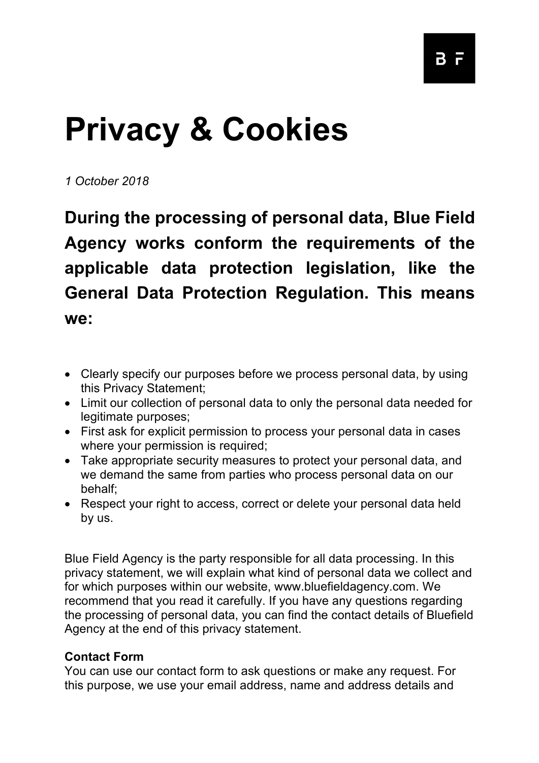# **Privacy & Cookies**

*1 October 2018*

**During the processing of personal data, Blue Field Agency works conform the requirements of the applicable data protection legislation, like the General Data Protection Regulation. This means we:**

- Clearly specify our purposes before we process personal data, by using this Privacy Statement;
- Limit our collection of personal data to only the personal data needed for legitimate purposes;
- First ask for explicit permission to process your personal data in cases where your permission is required;
- Take appropriate security measures to protect your personal data, and we demand the same from parties who process personal data on our behalf;
- Respect your right to access, correct or delete your personal data held by us.

Blue Field Agency is the party responsible for all data processing. In this privacy statement, we will explain what kind of personal data we collect and for which purposes within our website, www.bluefieldagency.com. We recommend that you read it carefully. If you have any questions regarding the processing of personal data, you can find the contact details of Bluefield Agency at the end of this privacy statement.

## **Contact Form**

You can use our contact form to ask questions or make any request. For this purpose, we use your email address, name and address details and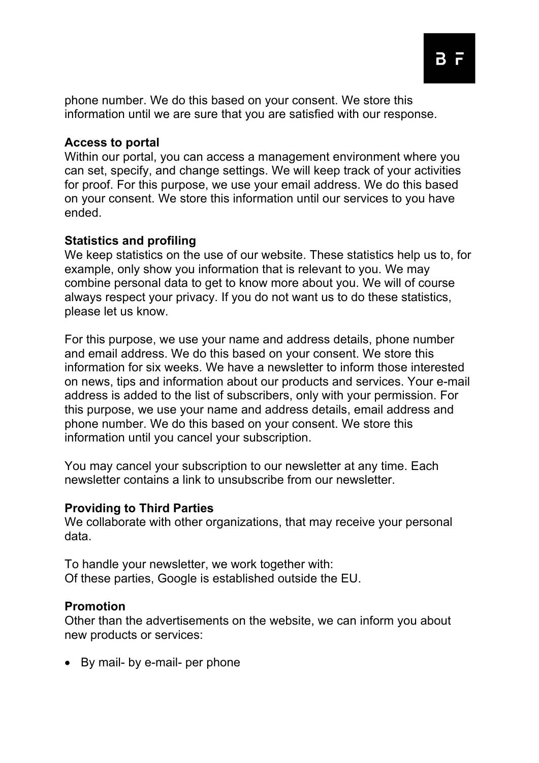phone number. We do this based on your consent. We store this information until we are sure that you are satisfied with our response.

## **Access to portal**

Within our portal, you can access a management environment where you can set, specify, and change settings. We will keep track of your activities for proof. For this purpose, we use your email address. We do this based on your consent. We store this information until our services to you have ended.

#### **Statistics and profiling**

We keep statistics on the use of our website. These statistics help us to, for example, only show you information that is relevant to you. We may combine personal data to get to know more about you. We will of course always respect your privacy. If you do not want us to do these statistics, please let us know.

For this purpose, we use your name and address details, phone number and email address. We do this based on your consent. We store this information for six weeks. We have a newsletter to inform those interested on news, tips and information about our products and services. Your e-mail address is added to the list of subscribers, only with your permission. For this purpose, we use your name and address details, email address and phone number. We do this based on your consent. We store this information until you cancel your subscription.

You may cancel your subscription to our newsletter at any time. Each newsletter contains a link to unsubscribe from our newsletter.

#### **Providing to Third Parties**

We collaborate with other organizations, that may receive your personal data.

To handle your newsletter, we work together with: Of these parties, Google is established outside the EU.

#### **Promotion**

Other than the advertisements on the website, we can inform you about new products or services:

• By mail- by e-mail- per phone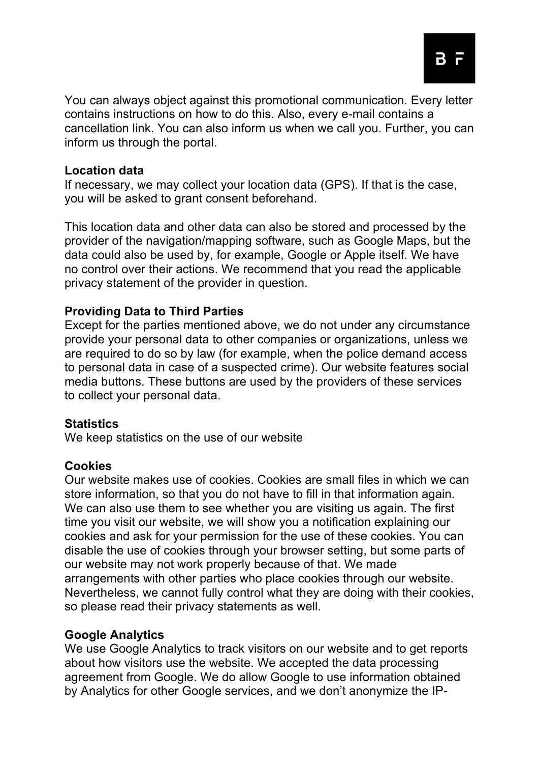You can always object against this promotional communication. Every letter contains instructions on how to do this. Also, every e-mail contains a cancellation link. You can also inform us when we call you. Further, you can inform us through the portal.

#### **Location data**

If necessary, we may collect your location data (GPS). If that is the case, you will be asked to grant consent beforehand.

This location data and other data can also be stored and processed by the provider of the navigation/mapping software, such as Google Maps, but the data could also be used by, for example, Google or Apple itself. We have no control over their actions. We recommend that you read the applicable privacy statement of the provider in question.

## **Providing Data to Third Parties**

Except for the parties mentioned above, we do not under any circumstance provide your personal data to other companies or organizations, unless we are required to do so by law (for example, when the police demand access to personal data in case of a suspected crime). Our website features social media buttons. These buttons are used by the providers of these services to collect your personal data.

## **Statistics**

We keep statistics on the use of our website

## **Cookies**

Our website makes use of cookies. Cookies are small files in which we can store information, so that you do not have to fill in that information again. We can also use them to see whether you are visiting us again. The first time you visit our website, we will show you a notification explaining our cookies and ask for your permission for the use of these cookies. You can disable the use of cookies through your browser setting, but some parts of our website may not work properly because of that. We made arrangements with other parties who place cookies through our website. Nevertheless, we cannot fully control what they are doing with their cookies, so please read their privacy statements as well.

## **Google Analytics**

We use Google Analytics to track visitors on our website and to get reports about how visitors use the website. We accepted the data processing agreement from Google. We do allow Google to use information obtained by Analytics for other Google services, and we don't anonymize the IP-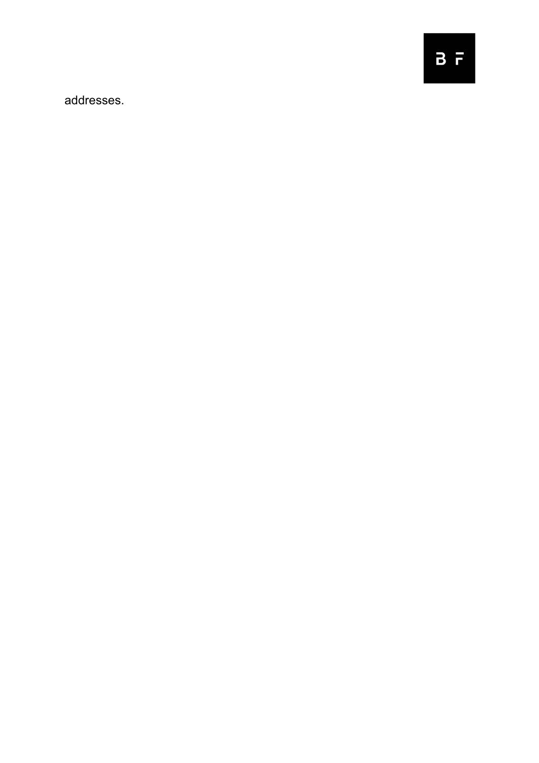addresses.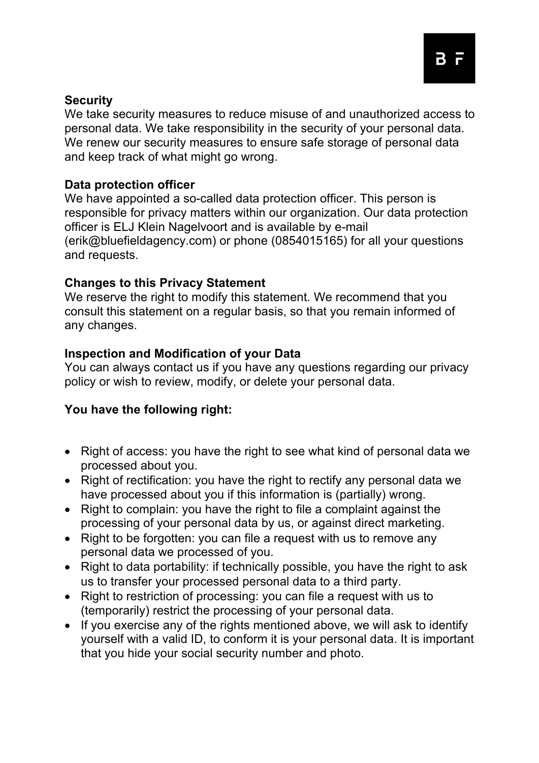#### **Security**

We take security measures to reduce misuse of and unauthorized access to personal data. We take responsibility in the security of your personal data. We renew our security measures to ensure safe storage of personal data and keep track of what might go wrong.

## **Data protection officer**

We have appointed a so-called data protection officer. This person is responsible for privacy matters within our organization. Our data protection officer is ELJ Klein Nagelvoort and is available by e-mail (erik@bluefieldagency.com) or phone (0854015165) for all your questions and requests.

#### **Changes to this Privacy Statement**

We reserve the right to modify this statement. We recommend that you consult this statement on a regular basis, so that you remain informed of any changes.

#### **Inspection and Modification of your Data**

You can always contact us if you have any questions regarding our privacy policy or wish to review, modify, or delete your personal data.

## **You have the following right:**

- Right of access: you have the right to see what kind of personal data we processed about you.
- Right of rectification: you have the right to rectify any personal data we have processed about you if this information is (partially) wrong.
- Right to complain: you have the right to file a complaint against the processing of your personal data by us, or against direct marketing.
- Right to be forgotten: you can file a request with us to remove any personal data we processed of you.
- Right to data portability: if technically possible, you have the right to ask us to transfer your processed personal data to a third party.
- Right to restriction of processing: you can file a request with us to (temporarily) restrict the processing of your personal data.
- If you exercise any of the rights mentioned above, we will ask to identify yourself with a valid ID, to conform it is your personal data. It is important that you hide your social security number and photo.